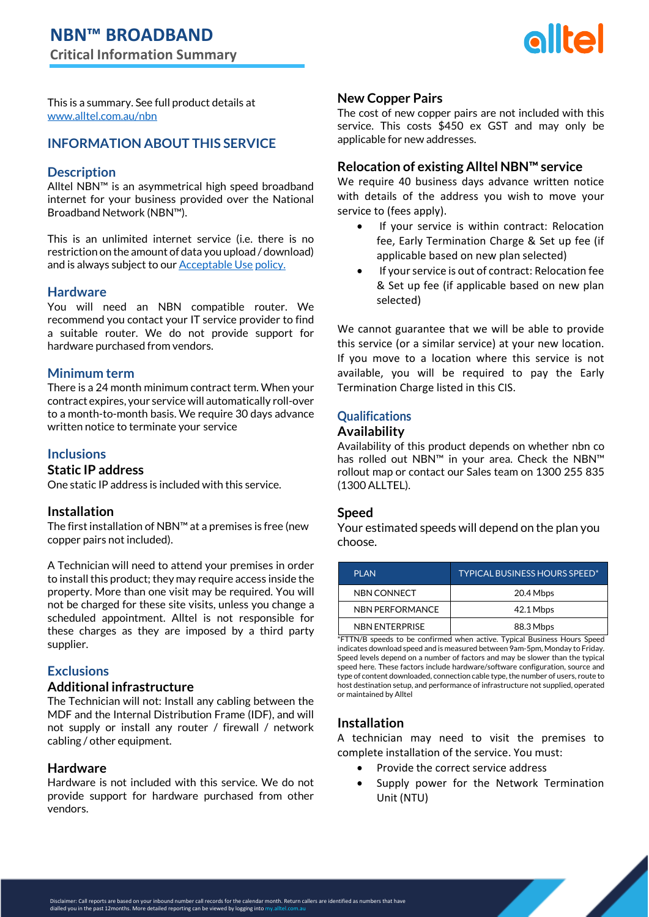

This is a summary. See full product details at [www.alltel.com.au/nbn](https://www.alltel.com.au/nbn)

# **INFORMATION ABOUT THIS SERVICE**

#### **Description**

Alltel NBN™ is an asymmetrical high speed broadband internet for your business provided over the National Broadband Network (NBN™).

This is an unlimited internet service (i.e. there is no restriction on the amount of data you upload / download) and is always subject to ou[r Acceptable Use](https://www.alltel.com.au/docs/pdf/policies/Alltel-Acceptable-Use.pdf) [policy.](https://www.alltel.com.au/docs/pdf/policies/Alltel-Acceptable-Use.pdf)

#### **Hardware**

You will need an NBN compatible router. We recommend you contact your IT service provider to find a suitable router. We do not provide support for hardware purchased from vendors.

#### **Minimum term**

There is a 24 month minimum contract term. When your contract expires, your service will automatically roll-over to a month-to-month basis. We require 30 days advance written notice to terminate your service

#### **Inclusions**

#### **Static IP address**

One static IP address is included with this service.

#### **Installation**

The first installation of NBN™ at a premises is free (new copper pairs not included).

A Technician will need to attend your premises in order to install this product; they may require access inside the property. More than one visit may be required. You will not be charged for these site visits, unless you change a scheduled appointment. Alltel is not responsible for these charges as they are imposed by a third party supplier.

# **Exclusions**

# **Additional infrastructure**

The Technician will not: Install any cabling between the MDF and the Internal Distribution Frame (IDF), and will not supply or install any router / firewall / network cabling / other equipment.

#### **Hardware**

Hardware is not included with this service. We do not provide support for hardware purchased from other vendors.

#### **New Copper Pairs**

The cost of new copper pairs are not included with this service. This costs \$450 ex GST and may only be applicable for new addresses.

#### **Relocation of existing Alltel NBN™ service**

We require 40 business days advance written notice with details of the address you wish to move your service to (fees apply).

- If your service is within contract: Relocation fee, Early Termination Charge & Set up fee (if applicable based on new plan selected)
- If your service is out of contract: Relocation fee & Set up fee (if applicable based on new plan selected)

We cannot guarantee that we will be able to provide this service (or a similar service) at your new location. If you move to a location where this service is not available, you will be required to pay the Early Termination Charge listed in this CIS.

#### **Qualifications**

#### **Availability**

Availability of this product depends on whether nbn co has rolled out NBN™ in your area. Check the NBN™ rollout map or contact our Sales team on 1300 255 835 (1300 ALLTEL).

#### **Speed**

Your estimated speeds will depend on the plan you choose.

| <b>PI AN</b>    | <b>TYPICAL BUSINESS HOURS SPEED*</b> |
|-----------------|--------------------------------------|
| NBN CONNECT     | 20.4 Mbps                            |
| NBN PERFORMANCE | 42.1 Mbps                            |
| NBN ENTERPRISE  | 88.3 Mbps                            |

\*FTTN/B speeds to be confirmed when active. Typical Business Hours Speed indicates download speed and is measured between 9am-5pm, Monday to Friday. Speed levels depend on a number of factors and may be slower than the typical speed here. These factors include hardware/software configuration, source and type of content downloaded, connection cable type, the number of users, route to host destination setup, and performance of infrastructure not supplied, operated or maintained by Alltel

# **Installation**

A technician may need to visit the premises to complete installation of the service. You must:

- Provide the correct service address
- Supply power for the Network Termination Unit (NTU)